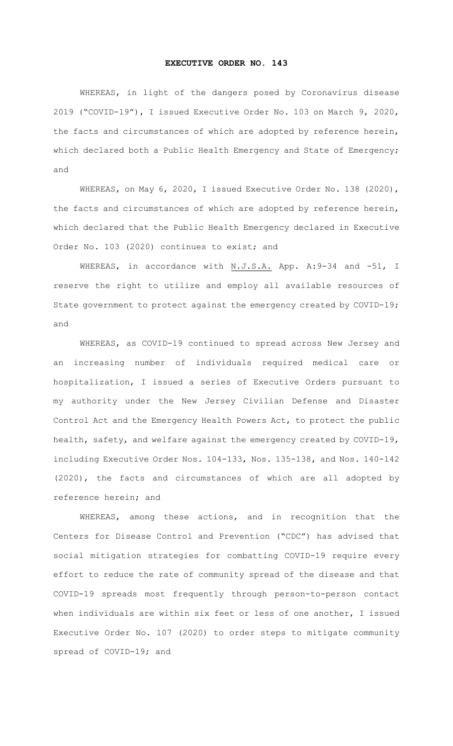## **EXECUTIVE ORDER NO. 143**

WHEREAS, in light of the dangers posed by Coronavirus disease 2019 ("COVID-19"), I issued Executive Order No. 103 on March 9, 2020, the facts and circumstances of which are adopted by reference herein, which declared both a Public Health Emergency and State of Emergency; and

WHEREAS, on May 6, 2020, I issued Executive Order No. 138 (2020), the facts and circumstances of which are adopted by reference herein, which declared that the Public Health Emergency declared in Executive Order No. 103 (2020) continues to exist; and

WHEREAS, in accordance with N.J.S.A. App. A:9-34 and -51, I reserve the right to utilize and employ all available resources of State government to protect against the emergency created by COVID-19; and

WHEREAS, as COVID-19 continued to spread across New Jersey and an increasing number of individuals required medical care or hospitalization, I issued a series of Executive Orders pursuant to my authority under the New Jersey Civilian Defense and Disaster Control Act and the Emergency Health Powers Act, to protect the public health, safety, and welfare against the emergency created by COVID-19, including Executive Order Nos. 104-133, Nos. 135-138, and Nos. 140-142 (2020), the facts and circumstances of which are all adopted by reference herein; and

WHEREAS, among these actions, and in recognition that the Centers for Disease Control and Prevention ("CDC") has advised that social mitigation strategies for combatting COVID-19 require every effort to reduce the rate of community spread of the disease and that COVID-19 spreads most frequently through person-to-person contact when individuals are within six feet or less of one another, I issued Executive Order No. 107 (2020) to order steps to mitigate community spread of COVID-19; and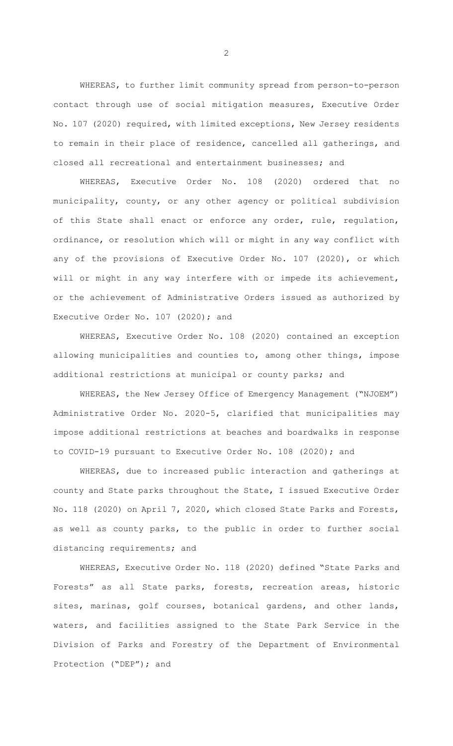WHEREAS, to further limit community spread from person-to-person contact through use of social mitigation measures, Executive Order No. 107 (2020) required, with limited exceptions, New Jersey residents to remain in their place of residence, cancelled all gatherings, and closed all recreational and entertainment businesses; and

WHEREAS, Executive Order No. 108 (2020) ordered that no municipality, county, or any other agency or political subdivision of this State shall enact or enforce any order, rule, regulation, ordinance, or resolution which will or might in any way conflict with any of the provisions of Executive Order No. 107 (2020), or which will or might in any way interfere with or impede its achievement, or the achievement of Administrative Orders issued as authorized by Executive Order No. 107 (2020); and

WHEREAS, Executive Order No. 108 (2020) contained an exception allowing municipalities and counties to, among other things, impose additional restrictions at municipal or county parks; and

WHEREAS, the New Jersey Office of Emergency Management ("NJOEM") Administrative Order No. 2020-5, clarified that municipalities may impose additional restrictions at beaches and boardwalks in response to COVID-19 pursuant to Executive Order No. 108 (2020); and

WHEREAS, due to increased public interaction and gatherings at county and State parks throughout the State, I issued Executive Order No. 118 (2020) on April 7, 2020, which closed State Parks and Forests, as well as county parks, to the public in order to further social distancing requirements; and

WHEREAS, Executive Order No. 118 (2020) defined "State Parks and Forests" as all State parks, forests, recreation areas, historic sites, marinas, golf courses, botanical gardens, and other lands, waters, and facilities assigned to the State Park Service in the Division of Parks and Forestry of the Department of Environmental Protection ("DEP"); and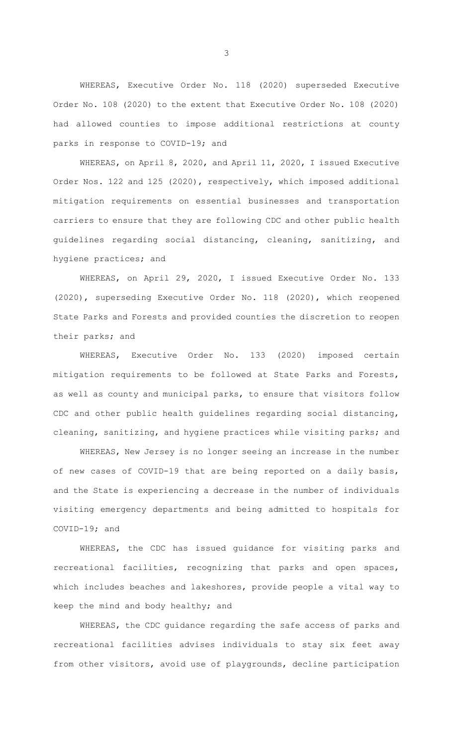WHEREAS, Executive Order No. 118 (2020) superseded Executive Order No. 108 (2020) to the extent that Executive Order No. 108 (2020) had allowed counties to impose additional restrictions at county parks in response to COVID-19; and

WHEREAS, on April 8, 2020, and April 11, 2020, I issued Executive Order Nos. 122 and 125 (2020), respectively, which imposed additional mitigation requirements on essential businesses and transportation carriers to ensure that they are following CDC and other public health guidelines regarding social distancing, cleaning, sanitizing, and hygiene practices; and

WHEREAS, on April 29, 2020, I issued Executive Order No. 133 (2020), superseding Executive Order No. 118 (2020), which reopened State Parks and Forests and provided counties the discretion to reopen their parks; and

WHEREAS, Executive Order No. 133 (2020) imposed certain mitigation requirements to be followed at State Parks and Forests, as well as county and municipal parks, to ensure that visitors follow CDC and other public health guidelines regarding social distancing, cleaning, sanitizing, and hygiene practices while visiting parks; and

WHEREAS, New Jersey is no longer seeing an increase in the number of new cases of COVID-19 that are being reported on a daily basis, and the State is experiencing a decrease in the number of individuals visiting emergency departments and being admitted to hospitals for COVID-19; and

WHEREAS, the CDC has issued guidance for visiting parks and recreational facilities, recognizing that parks and open spaces, which includes beaches and lakeshores, provide people a vital way to keep the mind and body healthy; and

WHEREAS, the CDC guidance regarding the safe access of parks and recreational facilities advises individuals to stay six feet away from other visitors, avoid use of playgrounds, decline participation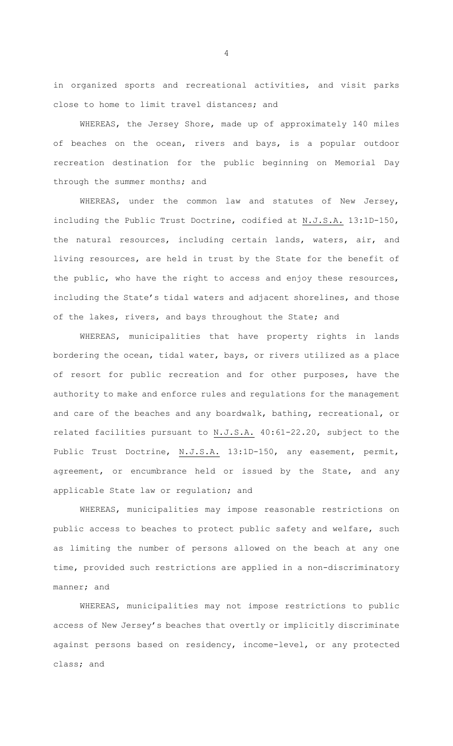in organized sports and recreational activities, and visit parks close to home to limit travel distances; and

WHEREAS, the Jersey Shore, made up of approximately 140 miles of beaches on the ocean, rivers and bays, is a popular outdoor recreation destination for the public beginning on Memorial Day through the summer months; and

WHEREAS, under the common law and statutes of New Jersey, including the Public Trust Doctrine, codified at N.J.S.A. 13:1D-150, the natural resources, including certain lands, waters, air, and living resources, are held in trust by the State for the benefit of the public, who have the right to access and enjoy these resources, including the State's tidal waters and adjacent shorelines, and those of the lakes, rivers, and bays throughout the State; and

WHEREAS, municipalities that have property rights in lands bordering the ocean, tidal water, bays, or rivers utilized as a place of resort for public recreation and for other purposes, have the authority to make and enforce rules and regulations for the management and care of the beaches and any boardwalk, bathing, recreational, or related facilities pursuant to N.J.S.A. 40:61-22.20, subject to the Public Trust Doctrine, N.J.S.A. 13:1D-150, any easement, permit, agreement, or encumbrance held or issued by the State, and any applicable State law or regulation; and

WHEREAS, municipalities may impose reasonable restrictions on public access to beaches to protect public safety and welfare, such as limiting the number of persons allowed on the beach at any one time, provided such restrictions are applied in a non-discriminatory manner; and

WHEREAS, municipalities may not impose restrictions to public access of New Jersey's beaches that overtly or implicitly discriminate against persons based on residency, income-level, or any protected class; and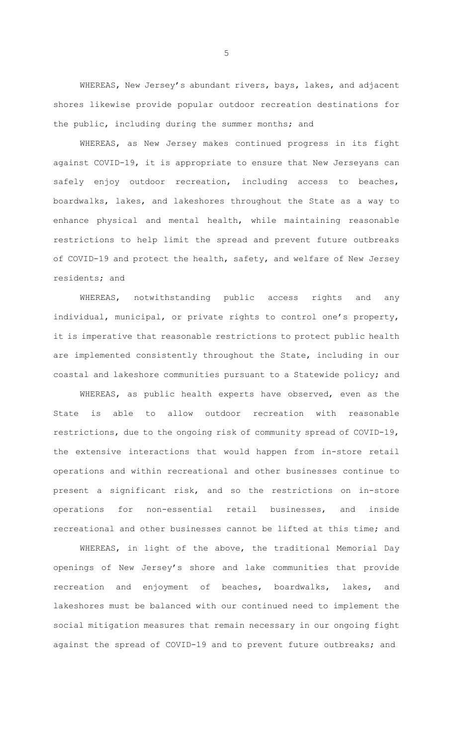WHEREAS, New Jersey's abundant rivers, bays, lakes, and adjacent shores likewise provide popular outdoor recreation destinations for the public, including during the summer months; and

WHEREAS, as New Jersey makes continued progress in its fight against COVID-19, it is appropriate to ensure that New Jerseyans can safely enjoy outdoor recreation, including access to beaches, boardwalks, lakes, and lakeshores throughout the State as a way to enhance physical and mental health, while maintaining reasonable restrictions to help limit the spread and prevent future outbreaks of COVID-19 and protect the health, safety, and welfare of New Jersey residents; and

WHEREAS, notwithstanding public access rights and any individual, municipal, or private rights to control one's property, it is imperative that reasonable restrictions to protect public health are implemented consistently throughout the State, including in our coastal and lakeshore communities pursuant to a Statewide policy; and

WHEREAS, as public health experts have observed, even as the State is able to allow outdoor recreation with reasonable restrictions, due to the ongoing risk of community spread of COVID-19, the extensive interactions that would happen from in-store retail operations and within recreational and other businesses continue to present a significant risk, and so the restrictions on in-store operations for non-essential retail businesses, and inside recreational and other businesses cannot be lifted at this time; and

WHEREAS, in light of the above, the traditional Memorial Day openings of New Jersey's shore and lake communities that provide recreation and enjoyment of beaches, boardwalks, lakes, and lakeshores must be balanced with our continued need to implement the social mitigation measures that remain necessary in our ongoing fight against the spread of COVID-19 and to prevent future outbreaks; and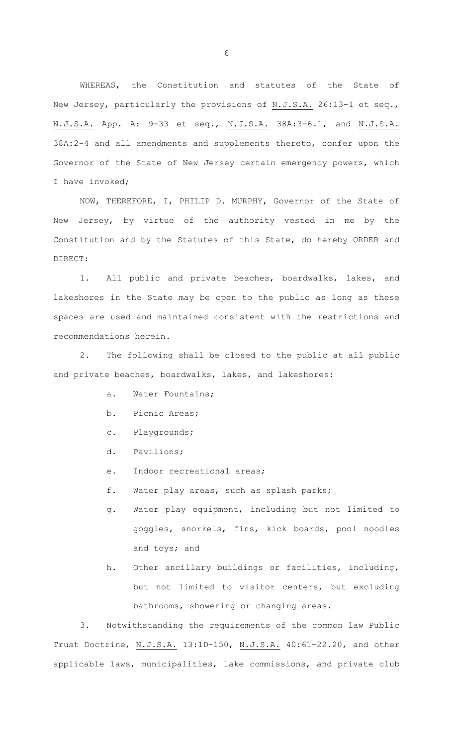WHEREAS, the Constitution and statutes of the State of New Jersey, particularly the provisions of N.J.S.A. 26:13-1 et seq., N.J.S.A. App. A: 9-33 et seq., N.J.S.A. 38A:3-6.1, and N.J.S.A. 38A:2-4 and all amendments and supplements thereto, confer upon the Governor of the State of New Jersey certain emergency powers, which I have invoked;

NOW, THEREFORE, I, PHILIP D. MURPHY, Governor of the State of New Jersey, by virtue of the authority vested in me by the Constitution and by the Statutes of this State, do hereby ORDER and DIRECT:

1. All public and private beaches, boardwalks, lakes, and lakeshores in the State may be open to the public as long as these spaces are used and maintained consistent with the restrictions and recommendations herein.

2. The following shall be closed to the public at all public and private beaches, boardwalks, lakes, and lakeshores:

- a. Water Fountains;
- b. Picnic Areas;
- c. Playgrounds;
- d. Pavilions;
- e. Indoor recreational areas;
- f. Water play areas, such as splash parks;
- g. Water play equipment, including but not limited to goggles, snorkels, fins, kick boards, pool noodles and toys; and
- h. Other ancillary buildings or facilities, including, but not limited to visitor centers, but excluding bathrooms, showering or changing areas.

3. Notwithstanding the requirements of the common law Public Trust Doctrine, N.J.S.A. 13:1D-150, N.J.S.A. 40:61-22.20, and other applicable laws, municipalities, lake commissions, and private club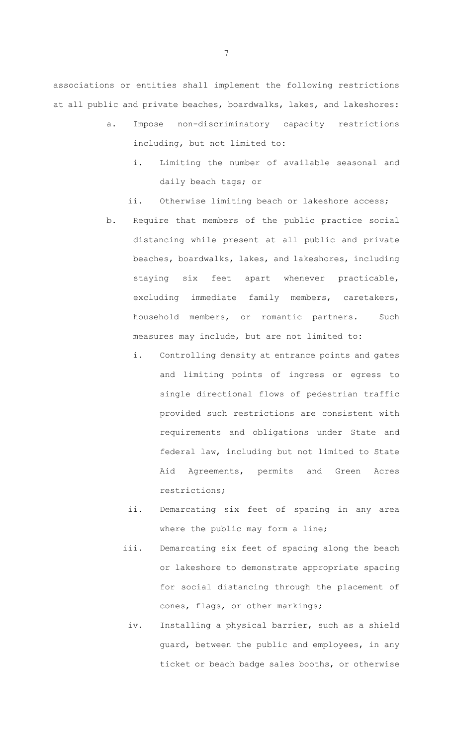associations or entities shall implement the following restrictions at all public and private beaches, boardwalks, lakes, and lakeshores:

- a. Impose non-discriminatory capacity restrictions including, but not limited to:
	- i. Limiting the number of available seasonal and daily beach tags; or
	- ii. Otherwise limiting beach or lakeshore access;
- b. Require that members of the public practice social distancing while present at all public and private beaches, boardwalks, lakes, and lakeshores, including staying six feet apart whenever practicable, excluding immediate family members, caretakers, household members, or romantic partners. Such measures may include, but are not limited to:
	- i. Controlling density at entrance points and gates and limiting points of ingress or egress to single directional flows of pedestrian traffic provided such restrictions are consistent with requirements and obligations under State and federal law, including but not limited to State Aid Agreements, permits and Green Acres restrictions;
	- ii. Demarcating six feet of spacing in any area where the public may form a line;
	- iii. Demarcating six feet of spacing along the beach or lakeshore to demonstrate appropriate spacing for social distancing through the placement of cones, flags, or other markings;
		- iv. Installing a physical barrier, such as a shield guard, between the public and employees, in any ticket or beach badge sales booths, or otherwise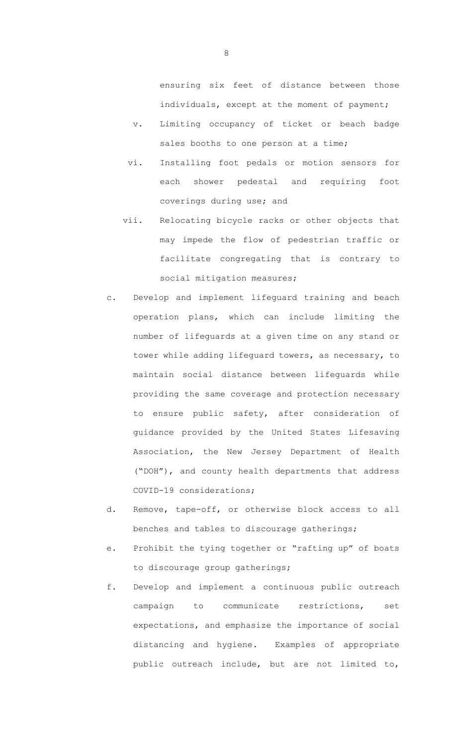ensuring six feet of distance between those individuals, except at the moment of payment;

- v. Limiting occupancy of ticket or beach badge sales booths to one person at a time;
- vi. Installing foot pedals or motion sensors for each shower pedestal and requiring foot coverings during use; and
- vii. Relocating bicycle racks or other objects that may impede the flow of pedestrian traffic or facilitate congregating that is contrary to social mitigation measures;
- c. Develop and implement lifeguard training and beach operation plans, which can include limiting the number of lifeguards at a given time on any stand or tower while adding lifeguard towers, as necessary, to maintain social distance between lifeguards while providing the same coverage and protection necessary to ensure public safety, after consideration of guidance provided by the United States Lifesaving Association, the New Jersey Department of Health ("DOH"), and county health departments that address COVID-19 considerations;
- d. Remove, tape-off, or otherwise block access to all benches and tables to discourage gatherings;
- e. Prohibit the tying together or "rafting up" of boats to discourage group gatherings;
- f. Develop and implement a continuous public outreach campaign to communicate restrictions, set expectations, and emphasize the importance of social distancing and hygiene. Examples of appropriate public outreach include, but are not limited to,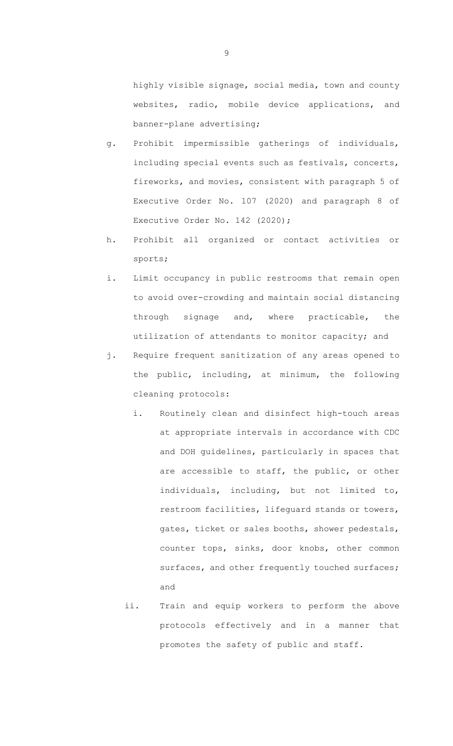highly visible signage, social media, town and county websites, radio, mobile device applications, and banner-plane advertising;

- g. Prohibit impermissible gatherings of individuals, including special events such as festivals, concerts, fireworks, and movies, consistent with paragraph 5 of Executive Order No. 107 (2020) and paragraph 8 of Executive Order No. 142 (2020);
- h. Prohibit all organized or contact activities or sports;
- i. Limit occupancy in public restrooms that remain open to avoid over-crowding and maintain social distancing through signage and, where practicable, the utilization of attendants to monitor capacity; and
- j. Require frequent sanitization of any areas opened to the public, including, at minimum, the following cleaning protocols:
	- i. Routinely clean and disinfect high-touch areas at appropriate intervals in accordance with CDC and DOH guidelines, particularly in spaces that are accessible to staff, the public, or other individuals, including, but not limited to, restroom facilities, lifeguard stands or towers, gates, ticket or sales booths, shower pedestals, counter tops, sinks, door knobs, other common surfaces, and other frequently touched surfaces; and
	- ii. Train and equip workers to perform the above protocols effectively and in a manner that promotes the safety of public and staff.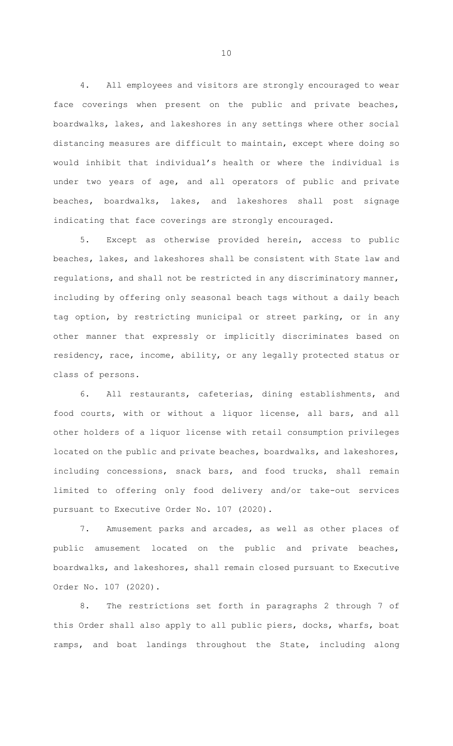4. All employees and visitors are strongly encouraged to wear face coverings when present on the public and private beaches, boardwalks, lakes, and lakeshores in any settings where other social distancing measures are difficult to maintain, except where doing so would inhibit that individual's health or where the individual is under two years of age, and all operators of public and private beaches, boardwalks, lakes, and lakeshores shall post signage indicating that face coverings are strongly encouraged.

5. Except as otherwise provided herein, access to public beaches, lakes, and lakeshores shall be consistent with State law and regulations, and shall not be restricted in any discriminatory manner, including by offering only seasonal beach tags without a daily beach tag option, by restricting municipal or street parking, or in any other manner that expressly or implicitly discriminates based on residency, race, income, ability, or any legally protected status or class of persons.

6. All restaurants, cafeterias, dining establishments, and food courts, with or without a liquor license, all bars, and all other holders of a liquor license with retail consumption privileges located on the public and private beaches, boardwalks, and lakeshores, including concessions, snack bars, and food trucks, shall remain limited to offering only food delivery and/or take-out services pursuant to Executive Order No. 107 (2020).

7. Amusement parks and arcades, as well as other places of public amusement located on the public and private beaches, boardwalks, and lakeshores, shall remain closed pursuant to Executive Order No. 107 (2020).

8. The restrictions set forth in paragraphs 2 through 7 of this Order shall also apply to all public piers, docks, wharfs, boat ramps, and boat landings throughout the State, including along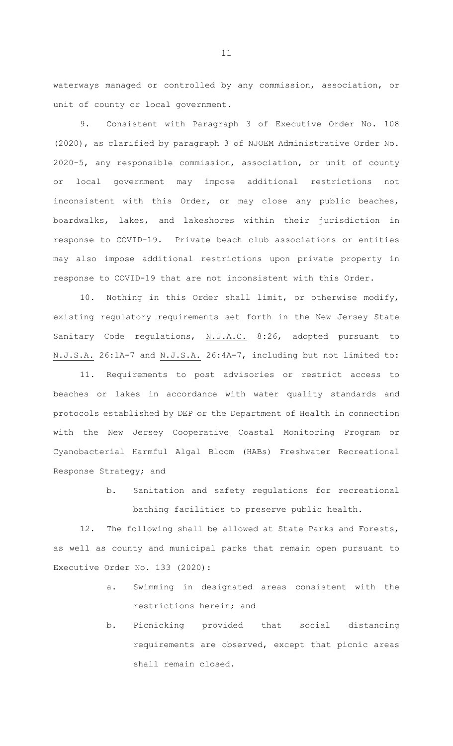waterways managed or controlled by any commission, association, or unit of county or local government.

9. Consistent with Paragraph 3 of Executive Order No. 108 (2020), as clarified by paragraph 3 of NJOEM Administrative Order No. 2020-5, any responsible commission, association, or unit of county or local government may impose additional restrictions not inconsistent with this Order, or may close any public beaches, boardwalks, lakes, and lakeshores within their jurisdiction in response to COVID-19. Private beach club associations or entities may also impose additional restrictions upon private property in response to COVID-19 that are not inconsistent with this Order.

10. Nothing in this Order shall limit, or otherwise modify, existing regulatory requirements set forth in the New Jersey State Sanitary Code regulations, N.J.A.C. 8:26, adopted pursuant to N.J.S.A. 26:1A-7 and N.J.S.A. 26:4A-7, including but not limited to:

11. Requirements to post advisories or restrict access to beaches or lakes in accordance with water quality standards and protocols established by DEP or the Department of Health in connection with the New Jersey Cooperative Coastal Monitoring Program or Cyanobacterial Harmful Algal Bloom (HABs) Freshwater Recreational Response Strategy; and

> b. Sanitation and safety regulations for recreational bathing facilities to preserve public health.

12. The following shall be allowed at State Parks and Forests, as well as county and municipal parks that remain open pursuant to Executive Order No. 133 (2020):

- a. Swimming in designated areas consistent with the restrictions herein; and
- b. Picnicking provided that social distancing requirements are observed, except that picnic areas shall remain closed.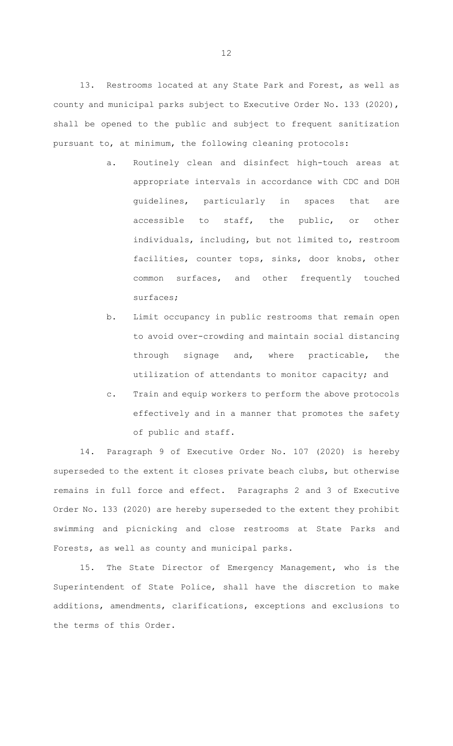13. Restrooms located at any State Park and Forest, as well as county and municipal parks subject to Executive Order No. 133 (2020), shall be opened to the public and subject to frequent sanitization pursuant to, at minimum, the following cleaning protocols:

- a. Routinely clean and disinfect high-touch areas at appropriate intervals in accordance with CDC and DOH guidelines, particularly in spaces that are accessible to staff, the public, or other individuals, including, but not limited to, restroom facilities, counter tops, sinks, door knobs, other common surfaces, and other frequently touched surfaces;
- b. Limit occupancy in public restrooms that remain open to avoid over-crowding and maintain social distancing through signage and, where practicable, the utilization of attendants to monitor capacity; and
- c. Train and equip workers to perform the above protocols effectively and in a manner that promotes the safety of public and staff.

14. Paragraph 9 of Executive Order No. 107 (2020) is hereby superseded to the extent it closes private beach clubs, but otherwise remains in full force and effect. Paragraphs 2 and 3 of Executive Order No. 133 (2020) are hereby superseded to the extent they prohibit swimming and picnicking and close restrooms at State Parks and Forests, as well as county and municipal parks.

15. The State Director of Emergency Management, who is the Superintendent of State Police, shall have the discretion to make additions, amendments, clarifications, exceptions and exclusions to the terms of this Order.